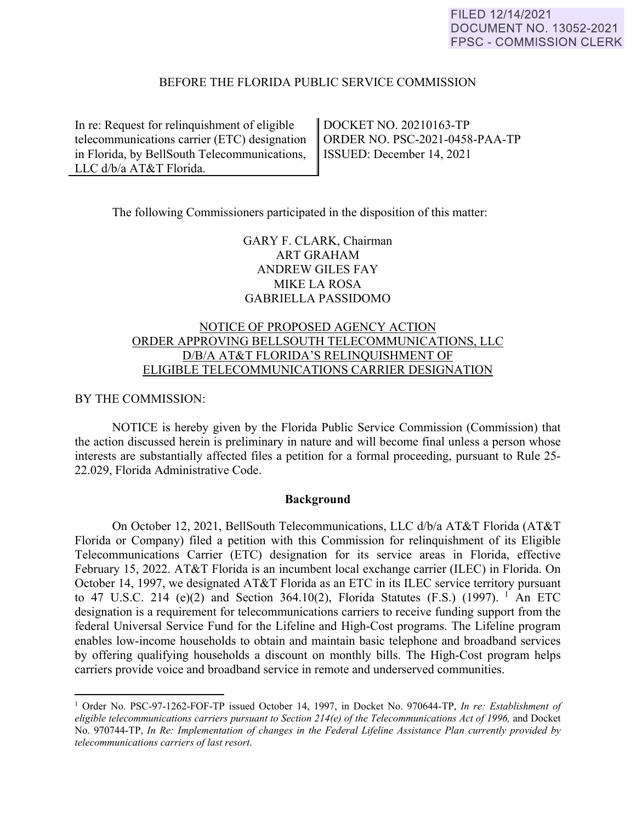#### BEFORE THE FLORIDA PUBLIC SERVICE COMMISSION

In re: Request for relinquishment of eligible telecommunications carrier (ETC) designation in Florida, by BellSouth Telecommunications, LLC d/b/a AT&T Florida.

DOCKET NO. 20210163-TP ORDER NO. PSC-2021-0458-PAA-TP ISSUED: December 14, 2021

The following Commissioners participated in the disposition of this matter:

GARY F. CLARK, Chairman ART GRAHAM ANDREW GILES FAY MIKE LA ROSA GABRIELLA PASSIDOMO

### NOTICE OF PROPOSED AGENCY ACTION ORDER APPROVING BELLSOUTH TELECOMMUNICATIONS, LLC D/B/A AT&T FLORIDA'S RELINQUISHMENT OF ELIGIBLE TELECOMMUNICATIONS CARRIER DESIGNATION

#### BY THE COMMISSION:

 $\overline{a}$ 

 NOTICE is hereby given by the Florida Public Service Commission (Commission) that the action discussed herein is preliminary in nature and will become final unless a person whose interests are substantially affected files a petition for a formal proceeding, pursuant to Rule 25- 22.029, Florida Administrative Code.

#### **Background**

On October 12, 2021, BellSouth Telecommunications, LLC d/b/a AT&T Florida (AT&T Florida or Company) filed a petition with this Commission for relinquishment of its Eligible Telecommunications Carrier (ETC) designation for its service areas in Florida, effective February 15, 2022. AT&T Florida is an incumbent local exchange carrier (ILEC) in Florida. On October 14, 1997, we designated AT&T Florida as an ETC in its ILEC service territory pursuant to 47 U.S.C. 214 (e)(2) and Section 364.10(2), Florida Statutes (F.S.) (1997). <sup>1</sup> An ETC designation is a requirement for telecommunications carriers to receive funding support from the federal Universal Service Fund for the Lifeline and High-Cost programs. The Lifeline program enables low-income households to obtain and maintain basic telephone and broadband services by offering qualifying households a discount on monthly bills. The High-Cost program helps carriers provide voice and broadband service in remote and underserved communities.

<sup>&</sup>lt;sup>1</sup> Order No. PSC-97-1262-FOF-TP issued October 14, 1997, in Docket No. 970644-TP, In re: Establishment of *eligible telecommunications carriers pursuant to Section 214(e) of the Telecommunications Act of 1996, and Docket* No. 970744-TP, *In Re: Implementation of changes in the Federal Lifeline Assistance Plan currently provided by telecommunications carriers of last resort*.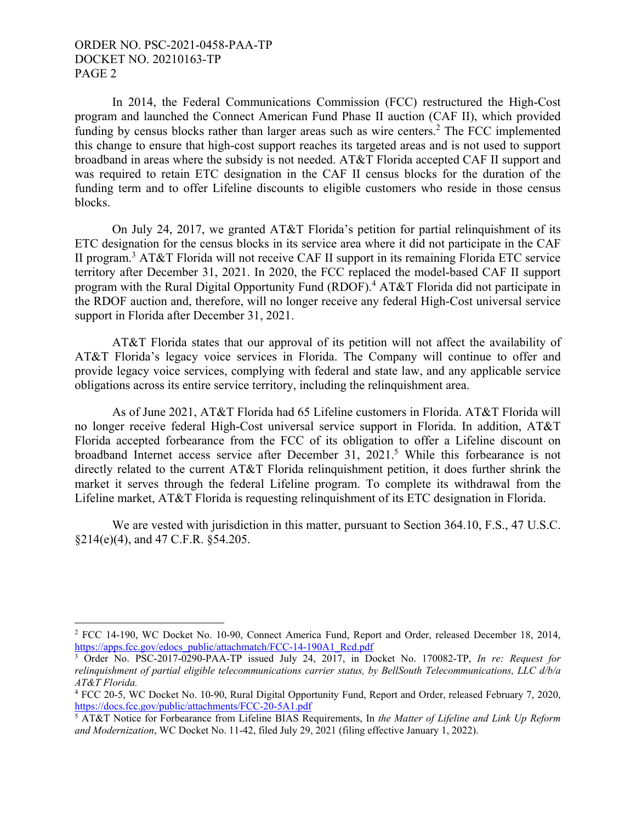#### ORDER NO. PSC-2021-0458-PAA-TP DOCKET NO. 20210163-TP PAGE 2

1

In 2014, the Federal Communications Commission (FCC) restructured the High-Cost program and launched the Connect American Fund Phase II auction (CAF II), which provided funding by census blocks rather than larger areas such as wire centers.<sup>2</sup> The FCC implemented this change to ensure that high-cost support reaches its targeted areas and is not used to support broadband in areas where the subsidy is not needed. AT&T Florida accepted CAF II support and was required to retain ETC designation in the CAF II census blocks for the duration of the funding term and to offer Lifeline discounts to eligible customers who reside in those census blocks.

On July 24, 2017, we granted AT&T Florida's petition for partial relinquishment of its ETC designation for the census blocks in its service area where it did not participate in the CAF II program.<sup>3</sup> AT&T Florida will not receive CAF II support in its remaining Florida ETC service territory after December 31, 2021. In 2020, the FCC replaced the model-based CAF II support program with the Rural Digital Opportunity Fund (RDOF).<sup>4</sup> AT&T Florida did not participate in the RDOF auction and, therefore, will no longer receive any federal High-Cost universal service support in Florida after December 31, 2021.

AT&T Florida states that our approval of its petition will not affect the availability of AT&T Florida's legacy voice services in Florida. The Company will continue to offer and provide legacy voice services, complying with federal and state law, and any applicable service obligations across its entire service territory, including the relinquishment area.

As of June 2021, AT&T Florida had 65 Lifeline customers in Florida. AT&T Florida will no longer receive federal High-Cost universal service support in Florida. In addition, AT&T Florida accepted forbearance from the FCC of its obligation to offer a Lifeline discount on broadband Internet access service after December 31, 2021.<sup>5</sup> While this forbearance is not directly related to the current AT&T Florida relinquishment petition, it does further shrink the market it serves through the federal Lifeline program. To complete its withdrawal from the Lifeline market, AT&T Florida is requesting relinquishment of its ETC designation in Florida.

We are vested with jurisdiction in this matter, pursuant to Section 364.10, F.S., 47 U.S.C. §214(e)(4), and 47 C.F.R. §54.205.

<sup>&</sup>lt;sup>2</sup> FCC 14-190, WC Docket No. 10-90, Connect America Fund, Report and Order, released December 18, 2014, https://apps.fcc.gov/edocs\_public/attachmatch/FCC-14-190A1\_Rcd.pdf

<sup>3</sup> Order No. PSC-2017-0290-PAA-TP issued July 24, 2017, in Docket No. 170082-TP, *In re: Request for relinquishment of partial eligible telecommunications carrier status, by BellSouth Telecommunications, LLC d/b/a AT&T Florida.*

<sup>4</sup> FCC 20-5, WC Docket No. 10-90, Rural Digital Opportunity Fund, Report and Order, released February 7, 2020, https://docs.fcc.gov/public/attachments/FCC-20-5A1.pdf

<sup>5</sup> AT&T Notice for Forbearance from Lifeline BIAS Requirements, In *the Matter of Lifeline and Link Up Reform and Modernization*, WC Docket No. 11-42, filed July 29, 2021 (filing effective January 1, 2022).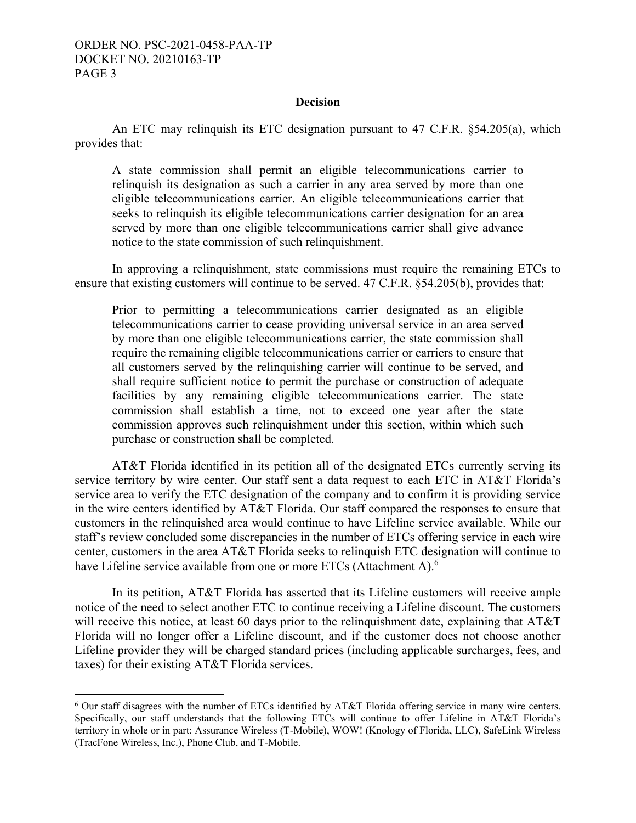#### **Decision**

An ETC may relinquish its ETC designation pursuant to 47 C.F.R. §54.205(a), which provides that:

A state commission shall permit an eligible telecommunications carrier to relinquish its designation as such a carrier in any area served by more than one eligible telecommunications carrier. An eligible telecommunications carrier that seeks to relinquish its eligible telecommunications carrier designation for an area served by more than one eligible telecommunications carrier shall give advance notice to the state commission of such relinquishment.

In approving a relinquishment, state commissions must require the remaining ETCs to ensure that existing customers will continue to be served. 47 C.F.R. §54.205(b), provides that:

Prior to permitting a telecommunications carrier designated as an eligible telecommunications carrier to cease providing universal service in an area served by more than one eligible telecommunications carrier, the state commission shall require the remaining eligible telecommunications carrier or carriers to ensure that all customers served by the relinquishing carrier will continue to be served, and shall require sufficient notice to permit the purchase or construction of adequate facilities by any remaining eligible telecommunications carrier. The state commission shall establish a time, not to exceed one year after the state commission approves such relinquishment under this section, within which such purchase or construction shall be completed.

AT&T Florida identified in its petition all of the designated ETCs currently serving its service territory by wire center. Our staff sent a data request to each ETC in AT&T Florida's service area to verify the ETC designation of the company and to confirm it is providing service in the wire centers identified by AT&T Florida. Our staff compared the responses to ensure that customers in the relinquished area would continue to have Lifeline service available. While our staff's review concluded some discrepancies in the number of ETCs offering service in each wire center, customers in the area AT&T Florida seeks to relinquish ETC designation will continue to have Lifeline service available from one or more ETCs (Attachment A).<sup>6</sup>

In its petition, AT&T Florida has asserted that its Lifeline customers will receive ample notice of the need to select another ETC to continue receiving a Lifeline discount. The customers will receive this notice, at least 60 days prior to the relinquishment date, explaining that AT&T Florida will no longer offer a Lifeline discount, and if the customer does not choose another Lifeline provider they will be charged standard prices (including applicable surcharges, fees, and taxes) for their existing AT&T Florida services.

 6 Our staff disagrees with the number of ETCs identified by AT&T Florida offering service in many wire centers. Specifically, our staff understands that the following ETCs will continue to offer Lifeline in AT&T Florida's territory in whole or in part: Assurance Wireless (T-Mobile), WOW! (Knology of Florida, LLC), SafeLink Wireless (TracFone Wireless, Inc.), Phone Club, and T-Mobile.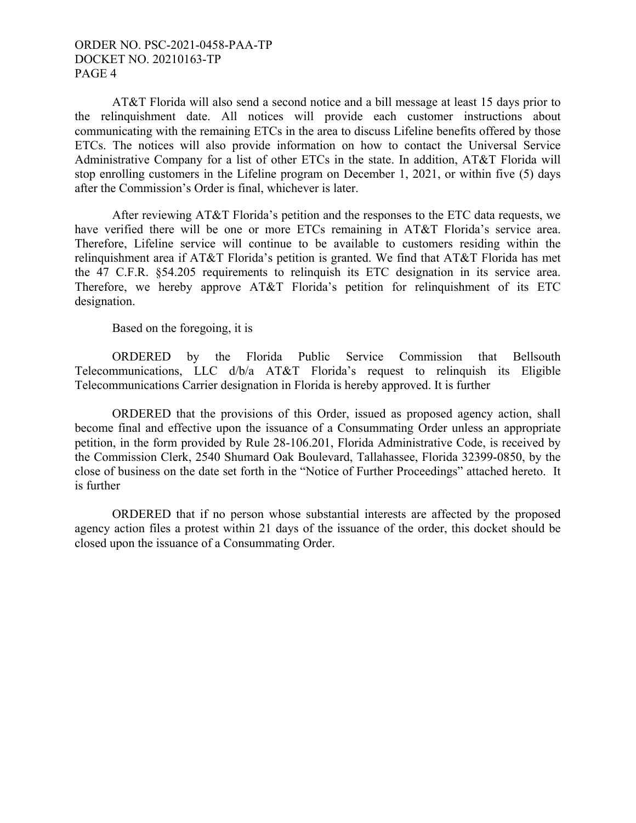#### ORDER NO. PSC-2021-0458-PAA-TP DOCKET NO. 20210163-TP PAGE 4

AT&T Florida will also send a second notice and a bill message at least 15 days prior to the relinquishment date. All notices will provide each customer instructions about communicating with the remaining ETCs in the area to discuss Lifeline benefits offered by those ETCs. The notices will also provide information on how to contact the Universal Service Administrative Company for a list of other ETCs in the state. In addition, AT&T Florida will stop enrolling customers in the Lifeline program on December 1, 2021, or within five (5) days after the Commission's Order is final, whichever is later.

After reviewing AT&T Florida's petition and the responses to the ETC data requests, we have verified there will be one or more ETCs remaining in AT&T Florida's service area. Therefore, Lifeline service will continue to be available to customers residing within the relinquishment area if AT&T Florida's petition is granted. We find that AT&T Florida has met the 47 C.F.R. §54.205 requirements to relinquish its ETC designation in its service area. Therefore, we hereby approve AT&T Florida's petition for relinquishment of its ETC designation.

Based on the foregoing, it is

 ORDERED by the Florida Public Service Commission that Bellsouth Telecommunications, LLC d/b/a AT&T Florida's request to relinquish its Eligible Telecommunications Carrier designation in Florida is hereby approved. It is further

 ORDERED that the provisions of this Order, issued as proposed agency action, shall become final and effective upon the issuance of a Consummating Order unless an appropriate petition, in the form provided by Rule 28-106.201, Florida Administrative Code, is received by the Commission Clerk, 2540 Shumard Oak Boulevard, Tallahassee, Florida 32399-0850, by the close of business on the date set forth in the "Notice of Further Proceedings" attached hereto. It is further

 ORDERED that if no person whose substantial interests are affected by the proposed agency action files a protest within 21 days of the issuance of the order, this docket should be closed upon the issuance of a Consummating Order.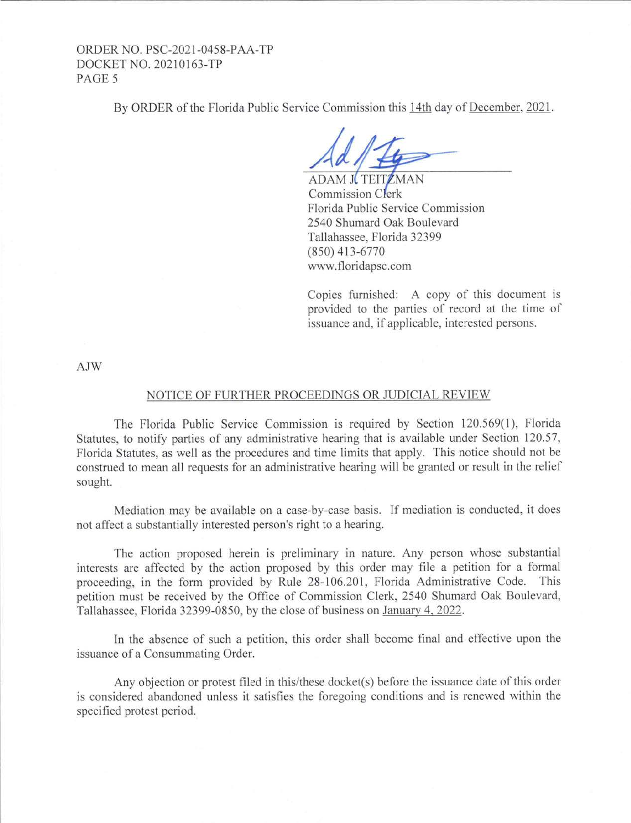#### ORDER NO. PSC-2021-0458-PAA-TP DOCKET NO. 20210163-TP PAGE<sub>5</sub>

By ORDER of the Florida Public Service Commission this 14th day of December, 2021 .

**ADAM JUTEITZMAN** Commission Clerk Florida Public Service Commission 2540 Shumard Oak Boulevard Tallahassee, Florida 32399 (850) 413-6770 www.floridapsc.com

Copies furnished: A copy of this document is provided to the parties of record at the time of issuance and, if applicable, interested persons.

AJW

#### NOTICE OF FURTHER PROCEEDINGS OR JUDICIAL REVIEW

The Florida Public Service Commission is required by Section 120.569(1), Florida Statutes, to notify parties of any administrative hearing that is available under Section 120.57, Florida Statutes, as well as the procedures and time limits that apply. This notice should not be construed to mean all requests for an administrative hearing will be granted or result in the relief sought.

Mediation may be available on a case-by-case basis. Tf mediation is conducted, it does not affect a substantially interested person's right to a hearing.

The action proposed herein is preliminary in nature. Any person whose substantial interests are affected by the action proposed by this order may file a petition for a formal proceeding, in the form provided by Rule 28-106.201, Florida Administrative Code. This petition must be received by the Office of Commission Clerk, 2540 Shumard Oak Boulevard, Tallahassee, Florida 32399-0850. by the close of business on January 4. 2022.

In the absence of such a petition, this order shall become final and effective upon the issuance of a Consummating Order.

Any objection or protest filed in this/these docket(s) before the issuance date of this order is considered abandoned unless it satisfies the foregoing conditions and is renewed within the specified protest period.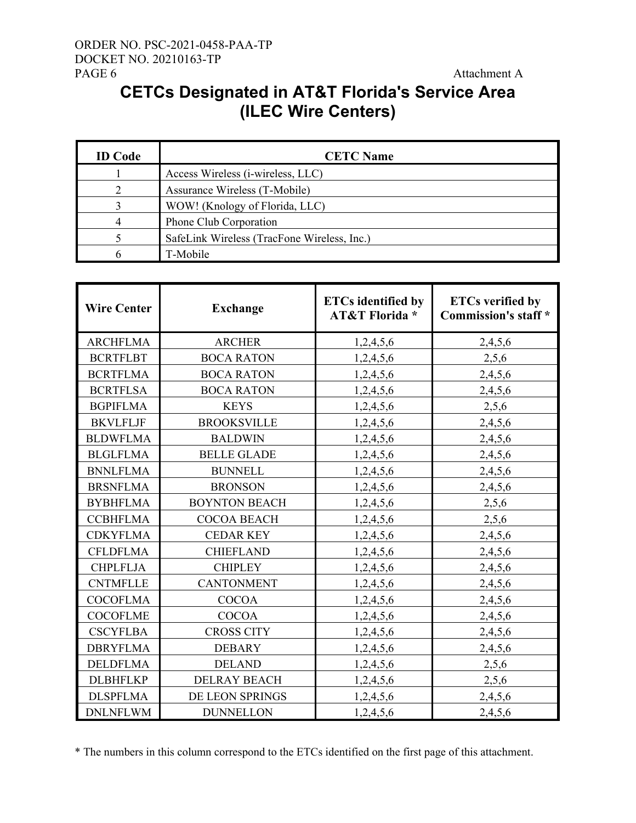### **CETCs Designated in AT&T Florida's Service Area (ILEC Wire Centers)**

| <b>ID</b> Code | <b>CETC Name</b>                            |
|----------------|---------------------------------------------|
|                | Access Wireless (i-wireless, LLC)           |
|                | Assurance Wireless (T-Mobile)               |
|                | WOW! (Knology of Florida, LLC)              |
| 4              | Phone Club Corporation                      |
|                | SafeLink Wireless (TracFone Wireless, Inc.) |
|                | T-Mobile                                    |

| <b>Wire Center</b> | <b>Exchange</b>      | <b>ETCs identified by</b><br><b>AT&amp;T Florida*</b> | <b>ETCs verified by</b><br><b>Commission's staff</b> * |
|--------------------|----------------------|-------------------------------------------------------|--------------------------------------------------------|
| <b>ARCHFLMA</b>    | <b>ARCHER</b>        | 1,2,4,5,6                                             | 2,4,5,6                                                |
| <b>BCRTFLBT</b>    | <b>BOCA RATON</b>    | 1,2,4,5,6                                             | 2,5,6                                                  |
| <b>BCRTFLMA</b>    | <b>BOCA RATON</b>    | 1,2,4,5,6                                             | 2,4,5,6                                                |
| <b>BCRTFLSA</b>    | <b>BOCA RATON</b>    | 1,2,4,5,6                                             | 2,4,5,6                                                |
| <b>BGPIFLMA</b>    | <b>KEYS</b>          | 1,2,4,5,6                                             | 2,5,6                                                  |
| <b>BKVLFLJF</b>    | <b>BROOKSVILLE</b>   | 1,2,4,5,6                                             | 2,4,5,6                                                |
| <b>BLDWFLMA</b>    | <b>BALDWIN</b>       | 1,2,4,5,6                                             | 2,4,5,6                                                |
| <b>BLGLFLMA</b>    | <b>BELLE GLADE</b>   | 1,2,4,5,6                                             | 2,4,5,6                                                |
| <b>BNNLFLMA</b>    | <b>BUNNELL</b>       | 1,2,4,5,6                                             | 2,4,5,6                                                |
| <b>BRSNFLMA</b>    | <b>BRONSON</b>       | 1,2,4,5,6                                             | 2,4,5,6                                                |
| <b>BYBHFLMA</b>    | <b>BOYNTON BEACH</b> | 1,2,4,5,6                                             | 2,5,6                                                  |
| <b>CCBHFLMA</b>    | <b>COCOA BEACH</b>   | 1,2,4,5,6                                             | 2,5,6                                                  |
| <b>CDKYFLMA</b>    | <b>CEDAR KEY</b>     | 1,2,4,5,6                                             | 2,4,5,6                                                |
| <b>CFLDFLMA</b>    | <b>CHIEFLAND</b>     | 1,2,4,5,6                                             | 2,4,5,6                                                |
| <b>CHPLFLJA</b>    | <b>CHIPLEY</b>       | 1,2,4,5,6                                             | 2,4,5,6                                                |
| <b>CNTMFLLE</b>    | <b>CANTONMENT</b>    | 1,2,4,5,6                                             | 2,4,5,6                                                |
| <b>COCOFLMA</b>    | <b>COCOA</b>         | 1,2,4,5,6                                             | 2,4,5,6                                                |
| <b>COCOFLME</b>    | <b>COCOA</b>         | 1,2,4,5,6                                             | 2,4,5,6                                                |
| <b>CSCYFLBA</b>    | <b>CROSS CITY</b>    | 1,2,4,5,6                                             | 2,4,5,6                                                |
| <b>DBRYFLMA</b>    | <b>DEBARY</b>        | 1,2,4,5,6                                             | 2,4,5,6                                                |
| <b>DELDFLMA</b>    | <b>DELAND</b>        | 1,2,4,5,6                                             | 2,5,6                                                  |
| <b>DLBHFLKP</b>    | <b>DELRAY BEACH</b>  | 1,2,4,5,6                                             | 2,5,6                                                  |
| <b>DLSPFLMA</b>    | DE LEON SPRINGS      | 1,2,4,5,6                                             | 2,4,5,6                                                |
| <b>DNLNFLWM</b>    | <b>DUNNELLON</b>     | 1,2,4,5,6                                             | 2,4,5,6                                                |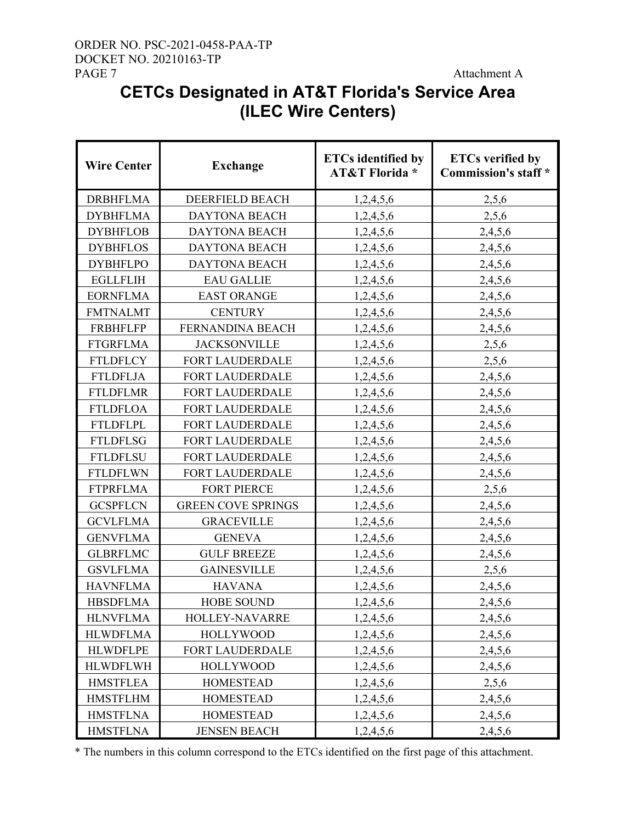### ORDER NO. PSC-2021-0458-PAA-TP DOCKET NO. 20210163-TP PAGE 7 Attachment A

# **CETCs Designated in AT&T Florida's Service Area (ILEC Wire Centers)**

| <b>Wire Center</b> | <b>Exchange</b>           | <b>ETCs identified by</b><br><b>AT&amp;T Florida*</b> | <b>ETCs verified by</b><br><b>Commission's staff</b> * |
|--------------------|---------------------------|-------------------------------------------------------|--------------------------------------------------------|
| <b>DRBHFLMA</b>    | DEERFIELD BEACH           | 1,2,4,5,6                                             | 2,5,6                                                  |
| <b>DYBHFLMA</b>    | <b>DAYTONA BEACH</b>      | 1,2,4,5,6                                             | 2,5,6                                                  |
| <b>DYBHFLOB</b>    | <b>DAYTONA BEACH</b>      | 1,2,4,5,6                                             | 2,4,5,6                                                |
| <b>DYBHFLOS</b>    | <b>DAYTONA BEACH</b>      | 1,2,4,5,6                                             | 2,4,5,6                                                |
| <b>DYBHFLPO</b>    | <b>DAYTONA BEACH</b>      | 1,2,4,5,6                                             | 2,4,5,6                                                |
| <b>EGLLFLIH</b>    | <b>EAU GALLIE</b>         | 1,2,4,5,6                                             | 2,4,5,6                                                |
| <b>EORNFLMA</b>    | <b>EAST ORANGE</b>        | 1,2,4,5,6                                             | 2,4,5,6                                                |
| <b>FMTNALMT</b>    | <b>CENTURY</b>            | 1,2,4,5,6                                             | 2,4,5,6                                                |
| <b>FRBHFLFP</b>    | FERNANDINA BEACH          | 1,2,4,5,6                                             | 2,4,5,6                                                |
| <b>FTGRFLMA</b>    | <b>JACKSONVILLE</b>       | 1,2,4,5,6                                             | 2,5,6                                                  |
| <b>FTLDFLCY</b>    | <b>FORT LAUDERDALE</b>    | 1,2,4,5,6                                             | 2,5,6                                                  |
| <b>FTLDFLJA</b>    | FORT LAUDERDALE           | 1,2,4,5,6                                             | 2,4,5,6                                                |
| <b>FTLDFLMR</b>    | FORT LAUDERDALE           | 1,2,4,5,6                                             | 2,4,5,6                                                |
| <b>FTLDFLOA</b>    | FORT LAUDERDALE           | 1,2,4,5,6                                             | 2,4,5,6                                                |
| <b>FTLDFLPL</b>    | FORT LAUDERDALE           | 1,2,4,5,6                                             | 2,4,5,6                                                |
| <b>FTLDFLSG</b>    | FORT LAUDERDALE           | 1,2,4,5,6                                             | 2,4,5,6                                                |
| <b>FTLDFLSU</b>    | FORT LAUDERDALE           | 1,2,4,5,6                                             | 2,4,5,6                                                |
| <b>FTLDFLWN</b>    | FORT LAUDERDALE           | 1,2,4,5,6                                             | 2,4,5,6                                                |
| <b>FTPRFLMA</b>    | <b>FORT PIERCE</b>        | 1,2,4,5,6                                             | 2,5,6                                                  |
| <b>GCSPFLCN</b>    | <b>GREEN COVE SPRINGS</b> | 1,2,4,5,6                                             | 2,4,5,6                                                |
| <b>GCVLFLMA</b>    | <b>GRACEVILLE</b>         | 1,2,4,5,6                                             | 2,4,5,6                                                |
| <b>GENVFLMA</b>    | <b>GENEVA</b>             | 1,2,4,5,6                                             | 2,4,5,6                                                |
| <b>GLBRFLMC</b>    | <b>GULF BREEZE</b>        | 1,2,4,5,6                                             | 2,4,5,6                                                |
| <b>GSVLFLMA</b>    | <b>GAINESVILLE</b>        | 1,2,4,5,6                                             | 2,5,6                                                  |
| <b>HAVNFLMA</b>    | <b>HAVANA</b>             | 1,2,4,5,6                                             | 2,4,5,6                                                |
| <b>HBSDFLMA</b>    | <b>HOBE SOUND</b>         | 1,2,4,5,6                                             | 2,4,5,6                                                |
| <b>HLNVFLMA</b>    | HOLLEY-NAVARRE            | 1,2,4,5,6                                             | 2,4,5,6                                                |
| <b>HLWDFLMA</b>    | <b>HOLLYWOOD</b>          | 1,2,4,5,6                                             | 2,4,5,6                                                |
| <b>HLWDFLPE</b>    | FORT LAUDERDALE           | 1,2,4,5,6                                             | 2,4,5,6                                                |
| <b>HLWDFLWH</b>    | <b>HOLLYWOOD</b>          | 1,2,4,5,6                                             | 2,4,5,6                                                |
| <b>HMSTFLEA</b>    | <b>HOMESTEAD</b>          | 1,2,4,5,6                                             | 2,5,6                                                  |
| <b>HMSTFLHM</b>    | <b>HOMESTEAD</b>          | 1,2,4,5,6                                             | 2,4,5,6                                                |
| <b>HMSTFLNA</b>    | <b>HOMESTEAD</b>          | 1,2,4,5,6                                             | 2,4,5,6                                                |
| <b>HMSTFLNA</b>    | <b>JENSEN BEACH</b>       | 1,2,4,5,6                                             | 2,4,5,6                                                |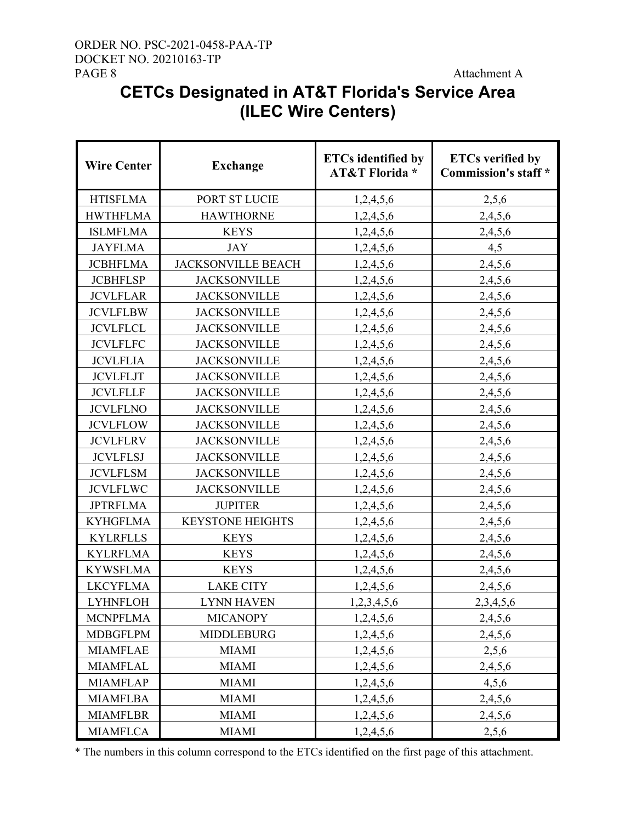### ORDER NO. PSC-2021-0458-PAA-TP DOCKET NO. 20210163-TP PAGE 8 Attachment A

# **CETCs Designated in AT&T Florida's Service Area (ILEC Wire Centers)**

| <b>Wire Center</b> | <b>Exchange</b>           | <b>ETCs</b> identified by<br><b>AT&amp;T Florida*</b> | <b>ETCs verified by</b><br><b>Commission's staff *</b> |
|--------------------|---------------------------|-------------------------------------------------------|--------------------------------------------------------|
| <b>HTISFLMA</b>    | PORT ST LUCIE             | 1,2,4,5,6                                             | 2,5,6                                                  |
| <b>HWTHFLMA</b>    | <b>HAWTHORNE</b>          | 1,2,4,5,6                                             | 2,4,5,6                                                |
| <b>ISLMFLMA</b>    | <b>KEYS</b>               | 1,2,4,5,6                                             | 2,4,5,6                                                |
| <b>JAYFLMA</b>     | <b>JAY</b>                | 1,2,4,5,6                                             | 4,5                                                    |
| <b>JCBHFLMA</b>    | <b>JACKSONVILLE BEACH</b> | 1,2,4,5,6                                             | 2,4,5,6                                                |
| <b>JCBHFLSP</b>    | <b>JACKSONVILLE</b>       | 1,2,4,5,6                                             | 2,4,5,6                                                |
| <b>JCVLFLAR</b>    | <b>JACKSONVILLE</b>       | 1,2,4,5,6                                             | 2,4,5,6                                                |
| <b>JCVLFLBW</b>    | <b>JACKSONVILLE</b>       | 1,2,4,5,6                                             | 2,4,5,6                                                |
| <b>JCVLFLCL</b>    | <b>JACKSONVILLE</b>       | 1,2,4,5,6                                             | 2,4,5,6                                                |
| <b>JCVLFLFC</b>    | <b>JACKSONVILLE</b>       | 1,2,4,5,6                                             | 2,4,5,6                                                |
| <b>JCVLFLIA</b>    | <b>JACKSONVILLE</b>       | 1,2,4,5,6                                             | 2,4,5,6                                                |
| <b>JCVLFLJT</b>    | <b>JACKSONVILLE</b>       | 1,2,4,5,6                                             | 2,4,5,6                                                |
| <b>JCVLFLLF</b>    | <b>JACKSONVILLE</b>       | 1,2,4,5,6                                             | 2,4,5,6                                                |
| <b>JCVLFLNO</b>    | <b>JACKSONVILLE</b>       | 1,2,4,5,6                                             | 2,4,5,6                                                |
| <b>JCVLFLOW</b>    | <b>JACKSONVILLE</b>       | 1,2,4,5,6                                             | 2,4,5,6                                                |
| <b>JCVLFLRV</b>    | <b>JACKSONVILLE</b>       | 1,2,4,5,6                                             | 2,4,5,6                                                |
| <b>JCVLFLSJ</b>    | <b>JACKSONVILLE</b>       | 1,2,4,5,6                                             | 2,4,5,6                                                |
| <b>JCVLFLSM</b>    | <b>JACKSONVILLE</b>       | 1,2,4,5,6                                             | 2,4,5,6                                                |
| <b>JCVLFLWC</b>    | <b>JACKSONVILLE</b>       | 1,2,4,5,6                                             | 2,4,5,6                                                |
| <b>JPTRFLMA</b>    | <b>JUPITER</b>            | 1,2,4,5,6                                             | 2,4,5,6                                                |
| <b>KYHGFLMA</b>    | <b>KEYSTONE HEIGHTS</b>   | 1,2,4,5,6                                             | 2,4,5,6                                                |
| <b>KYLRFLLS</b>    | <b>KEYS</b>               | 1,2,4,5,6                                             | 2,4,5,6                                                |
| <b>KYLRFLMA</b>    | <b>KEYS</b>               | 1,2,4,5,6                                             | 2,4,5,6                                                |
| <b>KYWSFLMA</b>    | <b>KEYS</b>               | 1,2,4,5,6                                             | 2,4,5,6                                                |
| <b>LKCYFLMA</b>    | <b>LAKE CITY</b>          | 1,2,4,5,6                                             | 2,4,5,6                                                |
| <b>LYHNFLOH</b>    | <b>LYNN HAVEN</b>         | 1,2,3,4,5,6                                           | 2,3,4,5,6                                              |
| <b>MCNPFLMA</b>    | <b>MICANOPY</b>           | 1,2,4,5,6                                             | 2,4,5,6                                                |
| <b>MDBGFLPM</b>    | <b>MIDDLEBURG</b>         | 1,2,4,5,6                                             | 2,4,5,6                                                |
| <b>MIAMFLAE</b>    | <b>MIAMI</b>              | 1,2,4,5,6                                             | 2,5,6                                                  |
| <b>MIAMFLAL</b>    | <b>MIAMI</b>              | 1,2,4,5,6                                             | 2,4,5,6                                                |
| <b>MIAMFLAP</b>    | <b>MIAMI</b>              | 1,2,4,5,6                                             | 4,5,6                                                  |
| <b>MIAMFLBA</b>    | <b>MIAMI</b>              | 1,2,4,5,6                                             | 2,4,5,6                                                |
| <b>MIAMFLBR</b>    | <b>MIAMI</b>              | 1,2,4,5,6                                             | 2,4,5,6                                                |
| <b>MIAMFLCA</b>    | <b>MIAMI</b>              | 1,2,4,5,6                                             | 2,5,6                                                  |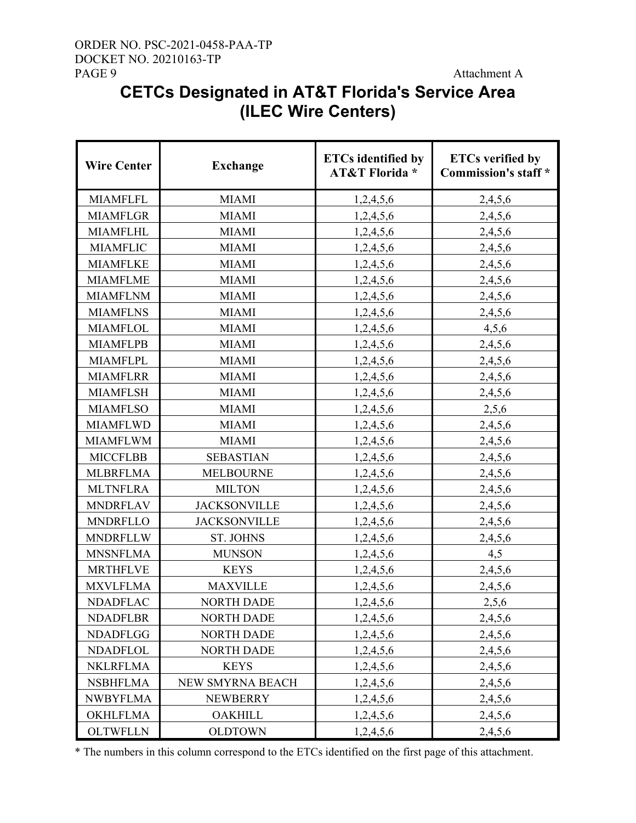### ORDER NO. PSC-2021-0458-PAA-TP DOCKET NO. 20210163-TP PAGE 9 Attachment A

# **CETCs Designated in AT&T Florida's Service Area (ILEC Wire Centers)**

| <b>Wire Center</b> | <b>Exchange</b>     | <b>ETCs identified by</b><br><b>AT&amp;T Florida</b> * | <b>ETCs verified by</b><br><b>Commission's staff</b> * |
|--------------------|---------------------|--------------------------------------------------------|--------------------------------------------------------|
| <b>MIAMFLFL</b>    | <b>MIAMI</b>        | 1,2,4,5,6                                              | 2,4,5,6                                                |
| <b>MIAMFLGR</b>    | <b>MIAMI</b>        | 1,2,4,5,6                                              | 2,4,5,6                                                |
| <b>MIAMFLHL</b>    | <b>MIAMI</b>        | 1,2,4,5,6                                              | 2,4,5,6                                                |
| <b>MIAMFLIC</b>    | <b>MIAMI</b>        | 1,2,4,5,6                                              | 2,4,5,6                                                |
| <b>MIAMFLKE</b>    | <b>MIAMI</b>        | 1,2,4,5,6                                              | 2,4,5,6                                                |
| <b>MIAMFLME</b>    | <b>MIAMI</b>        | 1,2,4,5,6                                              | 2,4,5,6                                                |
| <b>MIAMFLNM</b>    | <b>MIAMI</b>        | 1,2,4,5,6                                              | 2,4,5,6                                                |
| <b>MIAMFLNS</b>    | <b>MIAMI</b>        | 1,2,4,5,6                                              | 2,4,5,6                                                |
| <b>MIAMFLOL</b>    | <b>MIAMI</b>        | 1,2,4,5,6                                              | 4,5,6                                                  |
| <b>MIAMFLPB</b>    | <b>MIAMI</b>        | 1,2,4,5,6                                              | 2,4,5,6                                                |
| <b>MIAMFLPL</b>    | <b>MIAMI</b>        | 1,2,4,5,6                                              | 2,4,5,6                                                |
| <b>MIAMFLRR</b>    | <b>MIAMI</b>        | 1,2,4,5,6                                              | 2,4,5,6                                                |
| <b>MIAMFLSH</b>    | <b>MIAMI</b>        | 1,2,4,5,6                                              | 2,4,5,6                                                |
| <b>MIAMFLSO</b>    | <b>MIAMI</b>        | 1,2,4,5,6                                              | 2,5,6                                                  |
| <b>MIAMFLWD</b>    | <b>MIAMI</b>        | 1,2,4,5,6                                              | 2,4,5,6                                                |
| <b>MIAMFLWM</b>    | <b>MIAMI</b>        | 1,2,4,5,6                                              | 2,4,5,6                                                |
| <b>MICCFLBB</b>    | <b>SEBASTIAN</b>    | 1,2,4,5,6                                              | 2,4,5,6                                                |
| <b>MLBRFLMA</b>    | <b>MELBOURNE</b>    | 1,2,4,5,6                                              | 2,4,5,6                                                |
| <b>MLTNFLRA</b>    | <b>MILTON</b>       | 1,2,4,5,6                                              | 2,4,5,6                                                |
| <b>MNDRFLAV</b>    | <b>JACKSONVILLE</b> | 1,2,4,5,6                                              | 2,4,5,6                                                |
| <b>MNDRFLLO</b>    | <b>JACKSONVILLE</b> | 1,2,4,5,6                                              | 2,4,5,6                                                |
| <b>MNDRFLLW</b>    | <b>ST. JOHNS</b>    | 1,2,4,5,6                                              | 2,4,5,6                                                |
| <b>MNSNFLMA</b>    | <b>MUNSON</b>       | 1,2,4,5,6                                              | 4,5                                                    |
| <b>MRTHFLVE</b>    | <b>KEYS</b>         | 1,2,4,5,6                                              | 2,4,5,6                                                |
| <b>MXVLFLMA</b>    | <b>MAXVILLE</b>     | 1,2,4,5,6                                              | 2,4,5,6                                                |
| <b>NDADFLAC</b>    | <b>NORTH DADE</b>   | 1,2,4,5,6                                              | 2,5,6                                                  |
| <b>NDADFLBR</b>    | <b>NORTH DADE</b>   | 1,2,4,5,6                                              | 2,4,5,6                                                |
| <b>NDADFLGG</b>    | <b>NORTH DADE</b>   | 1,2,4,5,6                                              | 2,4,5,6                                                |
| <b>NDADFLOL</b>    | <b>NORTH DADE</b>   | 1,2,4,5,6                                              | 2,4,5,6                                                |
| <b>NKLRFLMA</b>    | <b>KEYS</b>         | 1,2,4,5,6                                              | 2,4,5,6                                                |
| <b>NSBHFLMA</b>    | NEW SMYRNA BEACH    | 1,2,4,5,6                                              | 2,4,5,6                                                |
| <b>NWBYFLMA</b>    | <b>NEWBERRY</b>     | 1,2,4,5,6                                              | 2,4,5,6                                                |
| <b>OKHLFLMA</b>    | <b>OAKHILL</b>      | 1,2,4,5,6                                              | 2,4,5,6                                                |
| <b>OLTWFLLN</b>    | <b>OLDTOWN</b>      | 1,2,4,5,6                                              | 2,4,5,6                                                |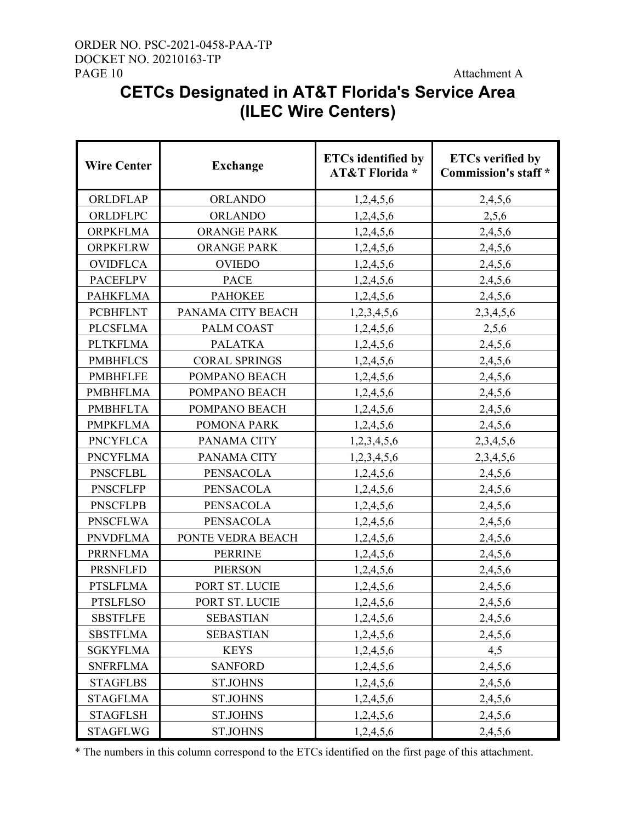### ORDER NO. PSC-2021-0458-PAA-TP DOCKET NO. 20210163-TP PAGE 10 Attachment A

# **CETCs Designated in AT&T Florida's Service Area (ILEC Wire Centers)**

| <b>Wire Center</b> | <b>Exchange</b>      | <b>ETCs</b> identified by<br><b>AT&amp;T Florida*</b> | <b>ETCs verified by</b><br><b>Commission's staff</b> * |
|--------------------|----------------------|-------------------------------------------------------|--------------------------------------------------------|
| ORLDFLAP           | <b>ORLANDO</b>       | 1,2,4,5,6                                             | 2,4,5,6                                                |
| ORLDFLPC           | <b>ORLANDO</b>       | 1,2,4,5,6                                             | 2,5,6                                                  |
| <b>ORPKFLMA</b>    | <b>ORANGE PARK</b>   | 1,2,4,5,6                                             | 2,4,5,6                                                |
| <b>ORPKFLRW</b>    | <b>ORANGE PARK</b>   | 1,2,4,5,6                                             | 2,4,5,6                                                |
| <b>OVIDFLCA</b>    | <b>OVIEDO</b>        | 1,2,4,5,6                                             | 2,4,5,6                                                |
| <b>PACEFLPV</b>    | <b>PACE</b>          | 1,2,4,5,6                                             | 2,4,5,6                                                |
| <b>PAHKFLMA</b>    | <b>PAHOKEE</b>       | 1,2,4,5,6                                             | 2,4,5,6                                                |
| <b>PCBHFLNT</b>    | PANAMA CITY BEACH    | 1,2,3,4,5,6                                           | 2, 3, 4, 5, 6                                          |
| <b>PLCSFLMA</b>    | PALM COAST           | 1,2,4,5,6                                             | 2,5,6                                                  |
| <b>PLTKFLMA</b>    | <b>PALATKA</b>       | 1,2,4,5,6                                             | 2,4,5,6                                                |
| <b>PMBHFLCS</b>    | <b>CORAL SPRINGS</b> | 1,2,4,5,6                                             | 2,4,5,6                                                |
| <b>PMBHFLFE</b>    | POMPANO BEACH        | 1,2,4,5,6                                             | 2,4,5,6                                                |
| <b>PMBHFLMA</b>    | POMPANO BEACH        | 1,2,4,5,6                                             | 2,4,5,6                                                |
| <b>PMBHFLTA</b>    | POMPANO BEACH        | 1,2,4,5,6                                             | 2,4,5,6                                                |
| <b>PMPKFLMA</b>    | POMONA PARK          | 1,2,4,5,6                                             | 2,4,5,6                                                |
| <b>PNCYFLCA</b>    | PANAMA CITY          | 1,2,3,4,5,6                                           | 2,3,4,5,6                                              |
| <b>PNCYFLMA</b>    | PANAMA CITY          | 1,2,3,4,5,6                                           | 2,3,4,5,6                                              |
| <b>PNSCFLBL</b>    | <b>PENSACOLA</b>     | 1,2,4,5,6                                             | 2,4,5,6                                                |
| <b>PNSCFLFP</b>    | <b>PENSACOLA</b>     | 1,2,4,5,6                                             | 2,4,5,6                                                |
| <b>PNSCFLPB</b>    | <b>PENSACOLA</b>     | 1,2,4,5,6                                             | 2,4,5,6                                                |
| <b>PNSCFLWA</b>    | <b>PENSACOLA</b>     | 1,2,4,5,6                                             | 2,4,5,6                                                |
| <b>PNVDFLMA</b>    | PONTE VEDRA BEACH    | 1,2,4,5,6                                             | 2,4,5,6                                                |
| <b>PRRNFLMA</b>    | <b>PERRINE</b>       | 1,2,4,5,6                                             | 2,4,5,6                                                |
| <b>PRSNFLFD</b>    | <b>PIERSON</b>       | 1,2,4,5,6                                             | 2,4,5,6                                                |
| <b>PTSLFLMA</b>    | PORT ST. LUCIE       | 1,2,4,5,6                                             | 2,4,5,6                                                |
| <b>PTSLFLSO</b>    | PORT ST. LUCIE       | 1,2,4,5,6                                             | 2,4,5,6                                                |
| <b>SBSTFLFE</b>    | <b>SEBASTIAN</b>     | 1,2,4,5,6                                             | 2,4,5,6                                                |
| <b>SBSTFLMA</b>    | <b>SEBASTIAN</b>     | 1,2,4,5,6                                             | 2,4,5,6                                                |
| <b>SGKYFLMA</b>    | <b>KEYS</b>          | 1,2,4,5,6                                             | 4,5                                                    |
| <b>SNFRFLMA</b>    | <b>SANFORD</b>       | 1,2,4,5,6                                             | 2,4,5,6                                                |
| <b>STAGFLBS</b>    | <b>ST.JOHNS</b>      | 1,2,4,5,6                                             | 2,4,5,6                                                |
| <b>STAGFLMA</b>    | <b>ST.JOHNS</b>      | 1,2,4,5,6                                             | 2,4,5,6                                                |
| <b>STAGFLSH</b>    | <b>ST.JOHNS</b>      | 1,2,4,5,6                                             | 2,4,5,6                                                |
| <b>STAGFLWG</b>    | <b>ST.JOHNS</b>      | 1,2,4,5,6                                             | 2,4,5,6                                                |